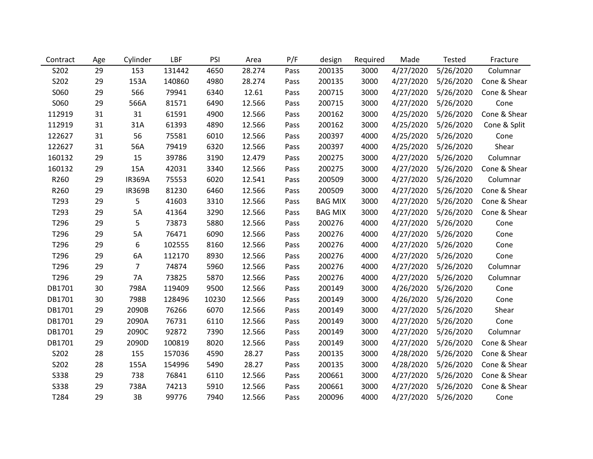| Contract    | Age | Cylinder      | LBF    | PSI   | Area   | P/F  | design         | Required | Made      | <b>Tested</b> | Fracture     |
|-------------|-----|---------------|--------|-------|--------|------|----------------|----------|-----------|---------------|--------------|
| S202        | 29  | 153           | 131442 | 4650  | 28.274 | Pass | 200135         | 3000     | 4/27/2020 | 5/26/2020     | Columnar     |
| S202        | 29  | 153A          | 140860 | 4980  | 28.274 | Pass | 200135         | 3000     | 4/27/2020 | 5/26/2020     | Cone & Shear |
| S060        | 29  | 566           | 79941  | 6340  | 12.61  | Pass | 200715         | 3000     | 4/27/2020 | 5/26/2020     | Cone & Shear |
| S060        | 29  | 566A          | 81571  | 6490  | 12.566 | Pass | 200715         | 3000     | 4/27/2020 | 5/26/2020     | Cone         |
| 112919      | 31  | 31            | 61591  | 4900  | 12.566 | Pass | 200162         | 3000     | 4/25/2020 | 5/26/2020     | Cone & Shear |
| 112919      | 31  | 31A           | 61393  | 4890  | 12.566 | Pass | 200162         | 3000     | 4/25/2020 | 5/26/2020     | Cone & Split |
| 122627      | 31  | 56            | 75581  | 6010  | 12.566 | Pass | 200397         | 4000     | 4/25/2020 | 5/26/2020     | Cone         |
| 122627      | 31  | 56A           | 79419  | 6320  | 12.566 | Pass | 200397         | 4000     | 4/25/2020 | 5/26/2020     | Shear        |
| 160132      | 29  | 15            | 39786  | 3190  | 12.479 | Pass | 200275         | 3000     | 4/27/2020 | 5/26/2020     | Columnar     |
| 160132      | 29  | 15A           | 42031  | 3340  | 12.566 | Pass | 200275         | 3000     | 4/27/2020 | 5/26/2020     | Cone & Shear |
| R260        | 29  | <b>IR369A</b> | 75553  | 6020  | 12.541 | Pass | 200509         | 3000     | 4/27/2020 | 5/26/2020     | Columnar     |
| R260        | 29  | <b>IR369B</b> | 81230  | 6460  | 12.566 | Pass | 200509         | 3000     | 4/27/2020 | 5/26/2020     | Cone & Shear |
| T293        | 29  | 5             | 41603  | 3310  | 12.566 | Pass | <b>BAG MIX</b> | 3000     | 4/27/2020 | 5/26/2020     | Cone & Shear |
| T293        | 29  | 5A            | 41364  | 3290  | 12.566 | Pass | <b>BAG MIX</b> | 3000     | 4/27/2020 | 5/26/2020     | Cone & Shear |
| T296        | 29  | 5             | 73873  | 5880  | 12.566 | Pass | 200276         | 4000     | 4/27/2020 | 5/26/2020     | Cone         |
| T296        | 29  | 5A            | 76471  | 6090  | 12.566 | Pass | 200276         | 4000     | 4/27/2020 | 5/26/2020     | Cone         |
| T296        | 29  | 6             | 102555 | 8160  | 12.566 | Pass | 200276         | 4000     | 4/27/2020 | 5/26/2020     | Cone         |
| T296        | 29  | 6A            | 112170 | 8930  | 12.566 | Pass | 200276         | 4000     | 4/27/2020 | 5/26/2020     | Cone         |
| T296        | 29  | 7             | 74874  | 5960  | 12.566 | Pass | 200276         | 4000     | 4/27/2020 | 5/26/2020     | Columnar     |
| T296        | 29  | <b>7A</b>     | 73825  | 5870  | 12.566 | Pass | 200276         | 4000     | 4/27/2020 | 5/26/2020     | Columnar     |
| DB1701      | 30  | 798A          | 119409 | 9500  | 12.566 | Pass | 200149         | 3000     | 4/26/2020 | 5/26/2020     | Cone         |
| DB1701      | 30  | 798B          | 128496 | 10230 | 12.566 | Pass | 200149         | 3000     | 4/26/2020 | 5/26/2020     | Cone         |
| DB1701      | 29  | 2090B         | 76266  | 6070  | 12.566 | Pass | 200149         | 3000     | 4/27/2020 | 5/26/2020     | Shear        |
| DB1701      | 29  | 2090A         | 76731  | 6110  | 12.566 | Pass | 200149         | 3000     | 4/27/2020 | 5/26/2020     | Cone         |
| DB1701      | 29  | 2090C         | 92872  | 7390  | 12.566 | Pass | 200149         | 3000     | 4/27/2020 | 5/26/2020     | Columnar     |
| DB1701      | 29  | 2090D         | 100819 | 8020  | 12.566 | Pass | 200149         | 3000     | 4/27/2020 | 5/26/2020     | Cone & Shear |
| S202        | 28  | 155           | 157036 | 4590  | 28.27  | Pass | 200135         | 3000     | 4/28/2020 | 5/26/2020     | Cone & Shear |
| S202        | 28  | 155A          | 154996 | 5490  | 28.27  | Pass | 200135         | 3000     | 4/28/2020 | 5/26/2020     | Cone & Shear |
| <b>S338</b> | 29  | 738           | 76841  | 6110  | 12.566 | Pass | 200661         | 3000     | 4/27/2020 | 5/26/2020     | Cone & Shear |
| <b>S338</b> | 29  | 738A          | 74213  | 5910  | 12.566 | Pass | 200661         | 3000     | 4/27/2020 | 5/26/2020     | Cone & Shear |
| T284        | 29  | 3B            | 99776  | 7940  | 12.566 | Pass | 200096         | 4000     | 4/27/2020 | 5/26/2020     | Cone         |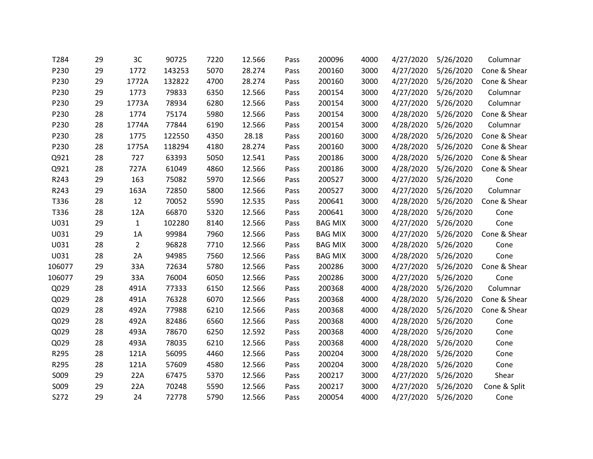| T284   | 29 | 3C             | 90725  | 7220 | 12.566 | Pass | 200096         | 4000 | 4/27/2020 | 5/26/2020 | Columnar     |
|--------|----|----------------|--------|------|--------|------|----------------|------|-----------|-----------|--------------|
| P230   | 29 | 1772           | 143253 | 5070 | 28.274 | Pass | 200160         | 3000 | 4/27/2020 | 5/26/2020 | Cone & Shear |
| P230   | 29 | 1772A          | 132822 | 4700 | 28.274 | Pass | 200160         | 3000 | 4/27/2020 | 5/26/2020 | Cone & Shear |
| P230   | 29 | 1773           | 79833  | 6350 | 12.566 | Pass | 200154         | 3000 | 4/27/2020 | 5/26/2020 | Columnar     |
| P230   | 29 | 1773A          | 78934  | 6280 | 12.566 | Pass | 200154         | 3000 | 4/27/2020 | 5/26/2020 | Columnar     |
| P230   | 28 | 1774           | 75174  | 5980 | 12.566 | Pass | 200154         | 3000 | 4/28/2020 | 5/26/2020 | Cone & Shear |
| P230   | 28 | 1774A          | 77844  | 6190 | 12.566 | Pass | 200154         | 3000 | 4/28/2020 | 5/26/2020 | Columnar     |
| P230   | 28 | 1775           | 122550 | 4350 | 28.18  | Pass | 200160         | 3000 | 4/28/2020 | 5/26/2020 | Cone & Shear |
| P230   | 28 | 1775A          | 118294 | 4180 | 28.274 | Pass | 200160         | 3000 | 4/28/2020 | 5/26/2020 | Cone & Shear |
| Q921   | 28 | 727            | 63393  | 5050 | 12.541 | Pass | 200186         | 3000 | 4/28/2020 | 5/26/2020 | Cone & Shear |
| Q921   | 28 | 727A           | 61049  | 4860 | 12.566 | Pass | 200186         | 3000 | 4/28/2020 | 5/26/2020 | Cone & Shear |
| R243   | 29 | 163            | 75082  | 5970 | 12.566 | Pass | 200527         | 3000 | 4/27/2020 | 5/26/2020 | Cone         |
| R243   | 29 | 163A           | 72850  | 5800 | 12.566 | Pass | 200527         | 3000 | 4/27/2020 | 5/26/2020 | Columnar     |
| T336   | 28 | 12             | 70052  | 5590 | 12.535 | Pass | 200641         | 3000 | 4/28/2020 | 5/26/2020 | Cone & Shear |
| T336   | 28 | 12A            | 66870  | 5320 | 12.566 | Pass | 200641         | 3000 | 4/28/2020 | 5/26/2020 | Cone         |
| U031   | 29 | $\mathbf{1}$   | 102280 | 8140 | 12.566 | Pass | <b>BAG MIX</b> | 3000 | 4/27/2020 | 5/26/2020 | Cone         |
| U031   | 29 | 1A             | 99984  | 7960 | 12.566 | Pass | <b>BAG MIX</b> | 3000 | 4/27/2020 | 5/26/2020 | Cone & Shear |
| U031   | 28 | $\overline{2}$ | 96828  | 7710 | 12.566 | Pass | <b>BAG MIX</b> | 3000 | 4/28/2020 | 5/26/2020 | Cone         |
| U031   | 28 | 2A             | 94985  | 7560 | 12.566 | Pass | <b>BAG MIX</b> | 3000 | 4/28/2020 | 5/26/2020 | Cone         |
| 106077 | 29 | 33A            | 72634  | 5780 | 12.566 | Pass | 200286         | 3000 | 4/27/2020 | 5/26/2020 | Cone & Shear |
| 106077 | 29 | 33A            | 76004  | 6050 | 12.566 | Pass | 200286         | 3000 | 4/27/2020 | 5/26/2020 | Cone         |
| Q029   | 28 | 491A           | 77333  | 6150 | 12.566 | Pass | 200368         | 4000 | 4/28/2020 | 5/26/2020 | Columnar     |
| Q029   | 28 | 491A           | 76328  | 6070 | 12.566 | Pass | 200368         | 4000 | 4/28/2020 | 5/26/2020 | Cone & Shear |
| Q029   | 28 | 492A           | 77988  | 6210 | 12.566 | Pass | 200368         | 4000 | 4/28/2020 | 5/26/2020 | Cone & Shear |
| Q029   | 28 | 492A           | 82486  | 6560 | 12.566 | Pass | 200368         | 4000 | 4/28/2020 | 5/26/2020 | Cone         |
| Q029   | 28 | 493A           | 78670  | 6250 | 12.592 | Pass | 200368         | 4000 | 4/28/2020 | 5/26/2020 | Cone         |
| Q029   | 28 | 493A           | 78035  | 6210 | 12.566 | Pass | 200368         | 4000 | 4/28/2020 | 5/26/2020 | Cone         |
| R295   | 28 | 121A           | 56095  | 4460 | 12.566 | Pass | 200204         | 3000 | 4/28/2020 | 5/26/2020 | Cone         |
| R295   | 28 | 121A           | 57609  | 4580 | 12.566 | Pass | 200204         | 3000 | 4/28/2020 | 5/26/2020 | Cone         |
| S009   | 29 | 22A            | 67475  | 5370 | 12.566 | Pass | 200217         | 3000 | 4/27/2020 | 5/26/2020 | Shear        |
| S009   | 29 | 22A            | 70248  | 5590 | 12.566 | Pass | 200217         | 3000 | 4/27/2020 | 5/26/2020 | Cone & Split |
| S272   | 29 | 24             | 72778  | 5790 | 12.566 | Pass | 200054         | 4000 | 4/27/2020 | 5/26/2020 | Cone         |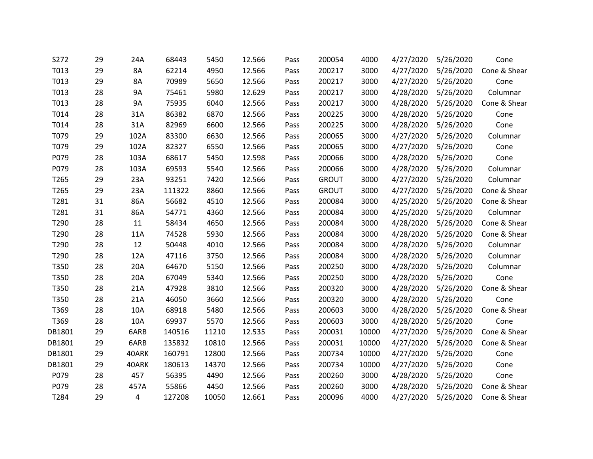| S272   | 29 | 24A   | 68443  | 5450  | 12.566 | Pass | 200054       | 4000  | 4/27/2020 | 5/26/2020 | Cone         |
|--------|----|-------|--------|-------|--------|------|--------------|-------|-----------|-----------|--------------|
| T013   | 29 | 8A    | 62214  | 4950  | 12.566 | Pass | 200217       | 3000  | 4/27/2020 | 5/26/2020 | Cone & Shear |
| T013   | 29 | 8A    | 70989  | 5650  | 12.566 | Pass | 200217       | 3000  | 4/27/2020 | 5/26/2020 | Cone         |
| T013   | 28 | 9A    | 75461  | 5980  | 12.629 | Pass | 200217       | 3000  | 4/28/2020 | 5/26/2020 | Columnar     |
| T013   | 28 | 9A    | 75935  | 6040  | 12.566 | Pass | 200217       | 3000  | 4/28/2020 | 5/26/2020 | Cone & Shear |
| T014   | 28 | 31A   | 86382  | 6870  | 12.566 | Pass | 200225       | 3000  | 4/28/2020 | 5/26/2020 | Cone         |
| T014   | 28 | 31A   | 82969  | 6600  | 12.566 | Pass | 200225       | 3000  | 4/28/2020 | 5/26/2020 | Cone         |
| T079   | 29 | 102A  | 83300  | 6630  | 12.566 | Pass | 200065       | 3000  | 4/27/2020 | 5/26/2020 | Columnar     |
| T079   | 29 | 102A  | 82327  | 6550  | 12.566 | Pass | 200065       | 3000  | 4/27/2020 | 5/26/2020 | Cone         |
| P079   | 28 | 103A  | 68617  | 5450  | 12.598 | Pass | 200066       | 3000  | 4/28/2020 | 5/26/2020 | Cone         |
| P079   | 28 | 103A  | 69593  | 5540  | 12.566 | Pass | 200066       | 3000  | 4/28/2020 | 5/26/2020 | Columnar     |
| T265   | 29 | 23A   | 93251  | 7420  | 12.566 | Pass | <b>GROUT</b> | 3000  | 4/27/2020 | 5/26/2020 | Columnar     |
| T265   | 29 | 23A   | 111322 | 8860  | 12.566 | Pass | <b>GROUT</b> | 3000  | 4/27/2020 | 5/26/2020 | Cone & Shear |
| T281   | 31 | 86A   | 56682  | 4510  | 12.566 | Pass | 200084       | 3000  | 4/25/2020 | 5/26/2020 | Cone & Shear |
| T281   | 31 | 86A   | 54771  | 4360  | 12.566 | Pass | 200084       | 3000  | 4/25/2020 | 5/26/2020 | Columnar     |
| T290   | 28 | 11    | 58434  | 4650  | 12.566 | Pass | 200084       | 3000  | 4/28/2020 | 5/26/2020 | Cone & Shear |
| T290   | 28 | 11A   | 74528  | 5930  | 12.566 | Pass | 200084       | 3000  | 4/28/2020 | 5/26/2020 | Cone & Shear |
| T290   | 28 | 12    | 50448  | 4010  | 12.566 | Pass | 200084       | 3000  | 4/28/2020 | 5/26/2020 | Columnar     |
| T290   | 28 | 12A   | 47116  | 3750  | 12.566 | Pass | 200084       | 3000  | 4/28/2020 | 5/26/2020 | Columnar     |
| T350   | 28 | 20A   | 64670  | 5150  | 12.566 | Pass | 200250       | 3000  | 4/28/2020 | 5/26/2020 | Columnar     |
| T350   | 28 | 20A   | 67049  | 5340  | 12.566 | Pass | 200250       | 3000  | 4/28/2020 | 5/26/2020 | Cone         |
| T350   | 28 | 21A   | 47928  | 3810  | 12.566 | Pass | 200320       | 3000  | 4/28/2020 | 5/26/2020 | Cone & Shear |
| T350   | 28 | 21A   | 46050  | 3660  | 12.566 | Pass | 200320       | 3000  | 4/28/2020 | 5/26/2020 | Cone         |
| T369   | 28 | 10A   | 68918  | 5480  | 12.566 | Pass | 200603       | 3000  | 4/28/2020 | 5/26/2020 | Cone & Shear |
| T369   | 28 | 10A   | 69937  | 5570  | 12.566 | Pass | 200603       | 3000  | 4/28/2020 | 5/26/2020 | Cone         |
| DB1801 | 29 | 6ARB  | 140516 | 11210 | 12.535 | Pass | 200031       | 10000 | 4/27/2020 | 5/26/2020 | Cone & Shear |
| DB1801 | 29 | 6ARB  | 135832 | 10810 | 12.566 | Pass | 200031       | 10000 | 4/27/2020 | 5/26/2020 | Cone & Shear |
| DB1801 | 29 | 40ARK | 160791 | 12800 | 12.566 | Pass | 200734       | 10000 | 4/27/2020 | 5/26/2020 | Cone         |
| DB1801 | 29 | 40ARK | 180613 | 14370 | 12.566 | Pass | 200734       | 10000 | 4/27/2020 | 5/26/2020 | Cone         |
| P079   | 28 | 457   | 56395  | 4490  | 12.566 | Pass | 200260       | 3000  | 4/28/2020 | 5/26/2020 | Cone         |
| P079   | 28 | 457A  | 55866  | 4450  | 12.566 | Pass | 200260       | 3000  | 4/28/2020 | 5/26/2020 | Cone & Shear |
| T284   | 29 | 4     | 127208 | 10050 | 12.661 | Pass | 200096       | 4000  | 4/27/2020 | 5/26/2020 | Cone & Shear |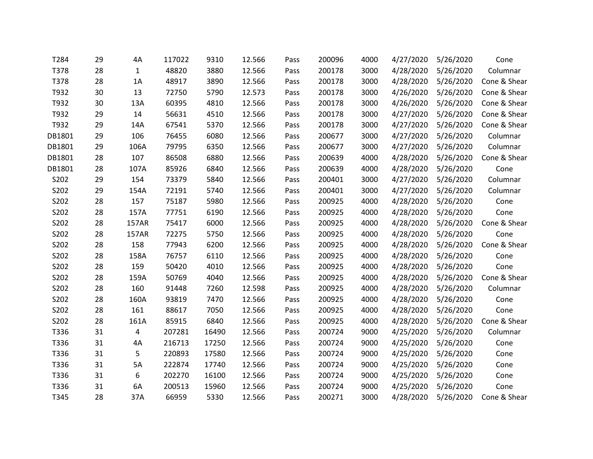| T284   | 29 | 4A           | 117022 | 9310  | 12.566 | Pass | 200096 | 4000 | 4/27/2020 | 5/26/2020 | Cone         |
|--------|----|--------------|--------|-------|--------|------|--------|------|-----------|-----------|--------------|
| T378   | 28 | $\mathbf{1}$ | 48820  | 3880  | 12.566 | Pass | 200178 | 3000 | 4/28/2020 | 5/26/2020 | Columnar     |
| T378   | 28 | 1A           | 48917  | 3890  | 12.566 | Pass | 200178 | 3000 | 4/28/2020 | 5/26/2020 | Cone & Shear |
| T932   | 30 | 13           | 72750  | 5790  | 12.573 | Pass | 200178 | 3000 | 4/26/2020 | 5/26/2020 | Cone & Shear |
| T932   | 30 | 13A          | 60395  | 4810  | 12.566 | Pass | 200178 | 3000 | 4/26/2020 | 5/26/2020 | Cone & Shear |
| T932   | 29 | 14           | 56631  | 4510  | 12.566 | Pass | 200178 | 3000 | 4/27/2020 | 5/26/2020 | Cone & Shear |
| T932   | 29 | 14A          | 67541  | 5370  | 12.566 | Pass | 200178 | 3000 | 4/27/2020 | 5/26/2020 | Cone & Shear |
| DB1801 | 29 | 106          | 76455  | 6080  | 12.566 | Pass | 200677 | 3000 | 4/27/2020 | 5/26/2020 | Columnar     |
| DB1801 | 29 | 106A         | 79795  | 6350  | 12.566 | Pass | 200677 | 3000 | 4/27/2020 | 5/26/2020 | Columnar     |
| DB1801 | 28 | 107          | 86508  | 6880  | 12.566 | Pass | 200639 | 4000 | 4/28/2020 | 5/26/2020 | Cone & Shear |
| DB1801 | 28 | 107A         | 85926  | 6840  | 12.566 | Pass | 200639 | 4000 | 4/28/2020 | 5/26/2020 | Cone         |
| S202   | 29 | 154          | 73379  | 5840  | 12.566 | Pass | 200401 | 3000 | 4/27/2020 | 5/26/2020 | Columnar     |
| S202   | 29 | 154A         | 72191  | 5740  | 12.566 | Pass | 200401 | 3000 | 4/27/2020 | 5/26/2020 | Columnar     |
| S202   | 28 | 157          | 75187  | 5980  | 12.566 | Pass | 200925 | 4000 | 4/28/2020 | 5/26/2020 | Cone         |
| S202   | 28 | 157A         | 77751  | 6190  | 12.566 | Pass | 200925 | 4000 | 4/28/2020 | 5/26/2020 | Cone         |
| S202   | 28 | 157AR        | 75417  | 6000  | 12.566 | Pass | 200925 | 4000 | 4/28/2020 | 5/26/2020 | Cone & Shear |
| S202   | 28 | 157AR        | 72275  | 5750  | 12.566 | Pass | 200925 | 4000 | 4/28/2020 | 5/26/2020 | Cone         |
| S202   | 28 | 158          | 77943  | 6200  | 12.566 | Pass | 200925 | 4000 | 4/28/2020 | 5/26/2020 | Cone & Shear |
| S202   | 28 | 158A         | 76757  | 6110  | 12.566 | Pass | 200925 | 4000 | 4/28/2020 | 5/26/2020 | Cone         |
| S202   | 28 | 159          | 50420  | 4010  | 12.566 | Pass | 200925 | 4000 | 4/28/2020 | 5/26/2020 | Cone         |
| S202   | 28 | 159A         | 50769  | 4040  | 12.566 | Pass | 200925 | 4000 | 4/28/2020 | 5/26/2020 | Cone & Shear |
| S202   | 28 | 160          | 91448  | 7260  | 12.598 | Pass | 200925 | 4000 | 4/28/2020 | 5/26/2020 | Columnar     |
| S202   | 28 | 160A         | 93819  | 7470  | 12.566 | Pass | 200925 | 4000 | 4/28/2020 | 5/26/2020 | Cone         |
| S202   | 28 | 161          | 88617  | 7050  | 12.566 | Pass | 200925 | 4000 | 4/28/2020 | 5/26/2020 | Cone         |
| S202   | 28 | 161A         | 85915  | 6840  | 12.566 | Pass | 200925 | 4000 | 4/28/2020 | 5/26/2020 | Cone & Shear |
| T336   | 31 | 4            | 207281 | 16490 | 12.566 | Pass | 200724 | 9000 | 4/25/2020 | 5/26/2020 | Columnar     |
| T336   | 31 | 4A           | 216713 | 17250 | 12.566 | Pass | 200724 | 9000 | 4/25/2020 | 5/26/2020 | Cone         |
| T336   | 31 | 5            | 220893 | 17580 | 12.566 | Pass | 200724 | 9000 | 4/25/2020 | 5/26/2020 | Cone         |
| T336   | 31 | 5A           | 222874 | 17740 | 12.566 | Pass | 200724 | 9000 | 4/25/2020 | 5/26/2020 | Cone         |
| T336   | 31 | 6            | 202270 | 16100 | 12.566 | Pass | 200724 | 9000 | 4/25/2020 | 5/26/2020 | Cone         |
| T336   | 31 | 6A           | 200513 | 15960 | 12.566 | Pass | 200724 | 9000 | 4/25/2020 | 5/26/2020 | Cone         |
| T345   | 28 | 37A          | 66959  | 5330  | 12.566 | Pass | 200271 | 3000 | 4/28/2020 | 5/26/2020 | Cone & Shear |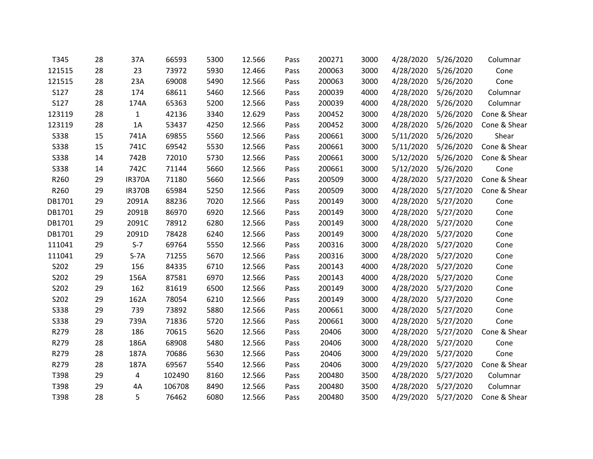| T345        | 28 | 37A           | 66593  | 5300 | 12.566 | Pass | 200271 | 3000 | 4/28/2020 | 5/26/2020 | Columnar     |
|-------------|----|---------------|--------|------|--------|------|--------|------|-----------|-----------|--------------|
| 121515      | 28 | 23            | 73972  | 5930 | 12.466 | Pass | 200063 | 3000 | 4/28/2020 | 5/26/2020 | Cone         |
| 121515      | 28 | 23A           | 69008  | 5490 | 12.566 | Pass | 200063 | 3000 | 4/28/2020 | 5/26/2020 | Cone         |
| S127        | 28 | 174           | 68611  | 5460 | 12.566 | Pass | 200039 | 4000 | 4/28/2020 | 5/26/2020 | Columnar     |
| S127        | 28 | 174A          | 65363  | 5200 | 12.566 | Pass | 200039 | 4000 | 4/28/2020 | 5/26/2020 | Columnar     |
| 123119      | 28 | $\mathbf{1}$  | 42136  | 3340 | 12.629 | Pass | 200452 | 3000 | 4/28/2020 | 5/26/2020 | Cone & Shear |
| 123119      | 28 | 1A            | 53437  | 4250 | 12.566 | Pass | 200452 | 3000 | 4/28/2020 | 5/26/2020 | Cone & Shear |
| S338        | 15 | 741A          | 69855  | 5560 | 12.566 | Pass | 200661 | 3000 | 5/11/2020 | 5/26/2020 | Shear        |
| S338        | 15 | 741C          | 69542  | 5530 | 12.566 | Pass | 200661 | 3000 | 5/11/2020 | 5/26/2020 | Cone & Shear |
| S338        | 14 | 742B          | 72010  | 5730 | 12.566 | Pass | 200661 | 3000 | 5/12/2020 | 5/26/2020 | Cone & Shear |
| S338        | 14 | 742C          | 71144  | 5660 | 12.566 | Pass | 200661 | 3000 | 5/12/2020 | 5/26/2020 | Cone         |
| R260        | 29 | <b>IR370A</b> | 71180  | 5660 | 12.566 | Pass | 200509 | 3000 | 4/28/2020 | 5/27/2020 | Cone & Shear |
| R260        | 29 | <b>IR370B</b> | 65984  | 5250 | 12.566 | Pass | 200509 | 3000 | 4/28/2020 | 5/27/2020 | Cone & Shear |
| DB1701      | 29 | 2091A         | 88236  | 7020 | 12.566 | Pass | 200149 | 3000 | 4/28/2020 | 5/27/2020 | Cone         |
| DB1701      | 29 | 2091B         | 86970  | 6920 | 12.566 | Pass | 200149 | 3000 | 4/28/2020 | 5/27/2020 | Cone         |
| DB1701      | 29 | 2091C         | 78912  | 6280 | 12.566 | Pass | 200149 | 3000 | 4/28/2020 | 5/27/2020 | Cone         |
| DB1701      | 29 | 2091D         | 78428  | 6240 | 12.566 | Pass | 200149 | 3000 | 4/28/2020 | 5/27/2020 | Cone         |
| 111041      | 29 | $S-7$         | 69764  | 5550 | 12.566 | Pass | 200316 | 3000 | 4/28/2020 | 5/27/2020 | Cone         |
| 111041      | 29 | $S-7A$        | 71255  | 5670 | 12.566 | Pass | 200316 | 3000 | 4/28/2020 | 5/27/2020 | Cone         |
| S202        | 29 | 156           | 84335  | 6710 | 12.566 | Pass | 200143 | 4000 | 4/28/2020 | 5/27/2020 | Cone         |
| S202        | 29 | 156A          | 87581  | 6970 | 12.566 | Pass | 200143 | 4000 | 4/28/2020 | 5/27/2020 | Cone         |
| S202        | 29 | 162           | 81619  | 6500 | 12.566 | Pass | 200149 | 3000 | 4/28/2020 | 5/27/2020 | Cone         |
| S202        | 29 | 162A          | 78054  | 6210 | 12.566 | Pass | 200149 | 3000 | 4/28/2020 | 5/27/2020 | Cone         |
| S338        | 29 | 739           | 73892  | 5880 | 12.566 | Pass | 200661 | 3000 | 4/28/2020 | 5/27/2020 | Cone         |
| <b>S338</b> | 29 | 739A          | 71836  | 5720 | 12.566 | Pass | 200661 | 3000 | 4/28/2020 | 5/27/2020 | Cone         |
| R279        | 28 | 186           | 70615  | 5620 | 12.566 | Pass | 20406  | 3000 | 4/28/2020 | 5/27/2020 | Cone & Shear |
| R279        | 28 | 186A          | 68908  | 5480 | 12.566 | Pass | 20406  | 3000 | 4/28/2020 | 5/27/2020 | Cone         |
| R279        | 28 | 187A          | 70686  | 5630 | 12.566 | Pass | 20406  | 3000 | 4/29/2020 | 5/27/2020 | Cone         |
| R279        | 28 | 187A          | 69567  | 5540 | 12.566 | Pass | 20406  | 3000 | 4/29/2020 | 5/27/2020 | Cone & Shear |
| T398        | 29 | 4             | 102490 | 8160 | 12.566 | Pass | 200480 | 3500 | 4/28/2020 | 5/27/2020 | Columnar     |
| T398        | 29 | 4A            | 106708 | 8490 | 12.566 | Pass | 200480 | 3500 | 4/28/2020 | 5/27/2020 | Columnar     |
| T398        | 28 | 5             | 76462  | 6080 | 12.566 | Pass | 200480 | 3500 | 4/29/2020 | 5/27/2020 | Cone & Shear |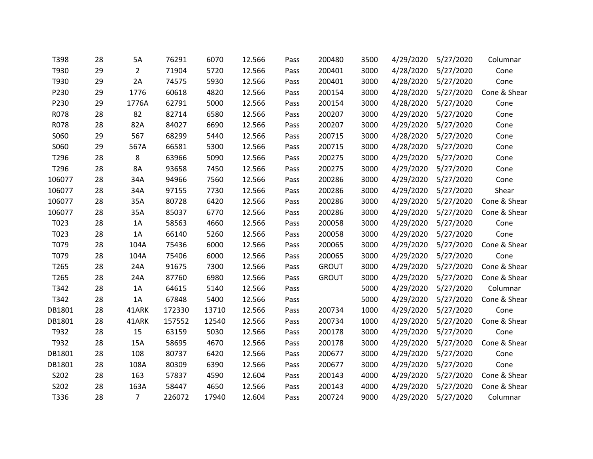| T398   | 28 | 5A             | 76291  | 6070  | 12.566 | Pass | 200480       | 3500 | 4/29/2020 | 5/27/2020 | Columnar     |
|--------|----|----------------|--------|-------|--------|------|--------------|------|-----------|-----------|--------------|
| T930   | 29 | $\overline{2}$ | 71904  | 5720  | 12.566 | Pass | 200401       | 3000 | 4/28/2020 | 5/27/2020 | Cone         |
| T930   | 29 | 2A             | 74575  | 5930  | 12.566 | Pass | 200401       | 3000 | 4/28/2020 | 5/27/2020 | Cone         |
| P230   | 29 | 1776           | 60618  | 4820  | 12.566 | Pass | 200154       | 3000 | 4/28/2020 | 5/27/2020 | Cone & Shear |
| P230   | 29 | 1776A          | 62791  | 5000  | 12.566 | Pass | 200154       | 3000 | 4/28/2020 | 5/27/2020 | Cone         |
| R078   | 28 | 82             | 82714  | 6580  | 12.566 | Pass | 200207       | 3000 | 4/29/2020 | 5/27/2020 | Cone         |
| R078   | 28 | 82A            | 84027  | 6690  | 12.566 | Pass | 200207       | 3000 | 4/29/2020 | 5/27/2020 | Cone         |
| S060   | 29 | 567            | 68299  | 5440  | 12.566 | Pass | 200715       | 3000 | 4/28/2020 | 5/27/2020 | Cone         |
| S060   | 29 | 567A           | 66581  | 5300  | 12.566 | Pass | 200715       | 3000 | 4/28/2020 | 5/27/2020 | Cone         |
| T296   | 28 | 8              | 63966  | 5090  | 12.566 | Pass | 200275       | 3000 | 4/29/2020 | 5/27/2020 | Cone         |
| T296   | 28 | 8A             | 93658  | 7450  | 12.566 | Pass | 200275       | 3000 | 4/29/2020 | 5/27/2020 | Cone         |
| 106077 | 28 | 34A            | 94966  | 7560  | 12.566 | Pass | 200286       | 3000 | 4/29/2020 | 5/27/2020 | Cone         |
| 106077 | 28 | 34A            | 97155  | 7730  | 12.566 | Pass | 200286       | 3000 | 4/29/2020 | 5/27/2020 | Shear        |
| 106077 | 28 | 35A            | 80728  | 6420  | 12.566 | Pass | 200286       | 3000 | 4/29/2020 | 5/27/2020 | Cone & Shear |
| 106077 | 28 | 35A            | 85037  | 6770  | 12.566 | Pass | 200286       | 3000 | 4/29/2020 | 5/27/2020 | Cone & Shear |
| T023   | 28 | 1A             | 58563  | 4660  | 12.566 | Pass | 200058       | 3000 | 4/29/2020 | 5/27/2020 | Cone         |
| T023   | 28 | 1A             | 66140  | 5260  | 12.566 | Pass | 200058       | 3000 | 4/29/2020 | 5/27/2020 | Cone         |
| T079   | 28 | 104A           | 75436  | 6000  | 12.566 | Pass | 200065       | 3000 | 4/29/2020 | 5/27/2020 | Cone & Shear |
| T079   | 28 | 104A           | 75406  | 6000  | 12.566 | Pass | 200065       | 3000 | 4/29/2020 | 5/27/2020 | Cone         |
| T265   | 28 | 24A            | 91675  | 7300  | 12.566 | Pass | <b>GROUT</b> | 3000 | 4/29/2020 | 5/27/2020 | Cone & Shear |
| T265   | 28 | 24A            | 87760  | 6980  | 12.566 | Pass | <b>GROUT</b> | 3000 | 4/29/2020 | 5/27/2020 | Cone & Shear |
| T342   | 28 | 1A             | 64615  | 5140  | 12.566 | Pass |              | 5000 | 4/29/2020 | 5/27/2020 | Columnar     |
| T342   | 28 | 1A             | 67848  | 5400  | 12.566 | Pass |              | 5000 | 4/29/2020 | 5/27/2020 | Cone & Shear |
| DB1801 | 28 | 41ARK          | 172330 | 13710 | 12.566 | Pass | 200734       | 1000 | 4/29/2020 | 5/27/2020 | Cone         |
| DB1801 | 28 | 41ARK          | 157552 | 12540 | 12.566 | Pass | 200734       | 1000 | 4/29/2020 | 5/27/2020 | Cone & Shear |
| T932   | 28 | 15             | 63159  | 5030  | 12.566 | Pass | 200178       | 3000 | 4/29/2020 | 5/27/2020 | Cone         |
| T932   | 28 | 15A            | 58695  | 4670  | 12.566 | Pass | 200178       | 3000 | 4/29/2020 | 5/27/2020 | Cone & Shear |
| DB1801 | 28 | 108            | 80737  | 6420  | 12.566 | Pass | 200677       | 3000 | 4/29/2020 | 5/27/2020 | Cone         |
| DB1801 | 28 | 108A           | 80309  | 6390  | 12.566 | Pass | 200677       | 3000 | 4/29/2020 | 5/27/2020 | Cone         |
| S202   | 28 | 163            | 57837  | 4590  | 12.604 | Pass | 200143       | 4000 | 4/29/2020 | 5/27/2020 | Cone & Shear |
| S202   | 28 | 163A           | 58447  | 4650  | 12.566 | Pass | 200143       | 4000 | 4/29/2020 | 5/27/2020 | Cone & Shear |
| T336   | 28 | $\overline{7}$ | 226072 | 17940 | 12.604 | Pass | 200724       | 9000 | 4/29/2020 | 5/27/2020 | Columnar     |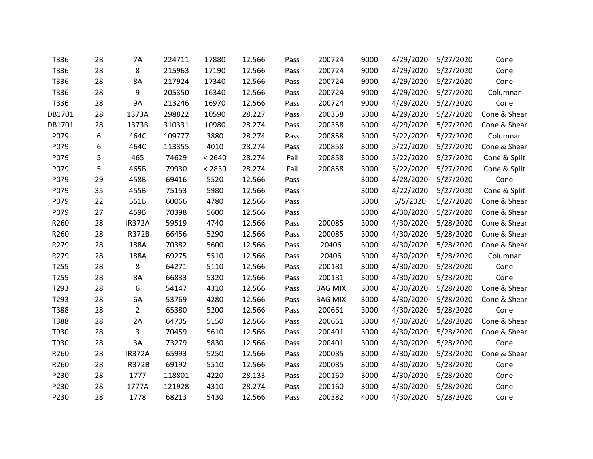| T336   | 28 | 7A             | 224711 | 17880  | 12.566 | Pass | 200724         | 9000 | 4/29/2020 | 5/27/2020 | Cone         |
|--------|----|----------------|--------|--------|--------|------|----------------|------|-----------|-----------|--------------|
| T336   | 28 | 8              | 215963 | 17190  | 12.566 | Pass | 200724         | 9000 | 4/29/2020 | 5/27/2020 | Cone         |
| T336   | 28 | 8A             | 217924 | 17340  | 12.566 | Pass | 200724         | 9000 | 4/29/2020 | 5/27/2020 | Cone         |
| T336   | 28 | 9              | 205350 | 16340  | 12.566 | Pass | 200724         | 9000 | 4/29/2020 | 5/27/2020 | Columnar     |
| T336   | 28 | 9A             | 213246 | 16970  | 12.566 | Pass | 200724         | 9000 | 4/29/2020 | 5/27/2020 | Cone         |
| DB1701 | 28 | 1373A          | 298822 | 10590  | 28.227 | Pass | 200358         | 3000 | 4/29/2020 | 5/27/2020 | Cone & Shear |
| DB1701 | 28 | 1373B          | 310331 | 10980  | 28.274 | Pass | 200358         | 3000 | 4/29/2020 | 5/27/2020 | Cone & Shear |
| P079   | 6  | 464C           | 109777 | 3880   | 28.274 | Pass | 200858         | 3000 | 5/22/2020 | 5/27/2020 | Columnar     |
| P079   | 6  | 464C           | 113355 | 4010   | 28.274 | Pass | 200858         | 3000 | 5/22/2020 | 5/27/2020 | Cone & Shear |
| P079   | 5  | 465            | 74629  | < 2640 | 28.274 | Fail | 200858         | 3000 | 5/22/2020 | 5/27/2020 | Cone & Split |
| P079   | 5  | 465B           | 79930  | < 2830 | 28.274 | Fail | 200858         | 3000 | 5/22/2020 | 5/27/2020 | Cone & Split |
| P079   | 29 | 458B           | 69416  | 5520   | 12.566 | Pass |                | 3000 | 4/28/2020 | 5/27/2020 | Cone         |
| P079   | 35 | 455B           | 75153  | 5980   | 12.566 | Pass |                | 3000 | 4/22/2020 | 5/27/2020 | Cone & Split |
| P079   | 22 | 561B           | 60066  | 4780   | 12.566 | Pass |                | 3000 | 5/5/2020  | 5/27/2020 | Cone & Shear |
| P079   | 27 | 459B           | 70398  | 5600   | 12.566 | Pass |                | 3000 | 4/30/2020 | 5/27/2020 | Cone & Shear |
| R260   | 28 | <b>IR372A</b>  | 59519  | 4740   | 12.566 | Pass | 200085         | 3000 | 4/30/2020 | 5/28/2020 | Cone & Shear |
| R260   | 28 | <b>IR372B</b>  | 66456  | 5290   | 12.566 | Pass | 200085         | 3000 | 4/30/2020 | 5/28/2020 | Cone & Shear |
| R279   | 28 | 188A           | 70382  | 5600   | 12.566 | Pass | 20406          | 3000 | 4/30/2020 | 5/28/2020 | Cone & Shear |
| R279   | 28 | 188A           | 69275  | 5510   | 12.566 | Pass | 20406          | 3000 | 4/30/2020 | 5/28/2020 | Columnar     |
| T255   | 28 | 8              | 64271  | 5110   | 12.566 | Pass | 200181         | 3000 | 4/30/2020 | 5/28/2020 | Cone         |
| T255   | 28 | 8A             | 66833  | 5320   | 12.566 | Pass | 200181         | 3000 | 4/30/2020 | 5/28/2020 | Cone         |
| T293   | 28 | 6              | 54147  | 4310   | 12.566 | Pass | <b>BAG MIX</b> | 3000 | 4/30/2020 | 5/28/2020 | Cone & Shear |
| T293   | 28 | 6A             | 53769  | 4280   | 12.566 | Pass | <b>BAG MIX</b> | 3000 | 4/30/2020 | 5/28/2020 | Cone & Shear |
| T388   | 28 | $\overline{2}$ | 65380  | 5200   | 12.566 | Pass | 200661         | 3000 | 4/30/2020 | 5/28/2020 | Cone         |
| T388   | 28 | 2A             | 64705  | 5150   | 12.566 | Pass | 200661         | 3000 | 4/30/2020 | 5/28/2020 | Cone & Shear |
| T930   | 28 | 3              | 70459  | 5610   | 12.566 | Pass | 200401         | 3000 | 4/30/2020 | 5/28/2020 | Cone & Shear |
| T930   | 28 | 3A             | 73279  | 5830   | 12.566 | Pass | 200401         | 3000 | 4/30/2020 | 5/28/2020 | Cone         |
| R260   | 28 | <b>IR372A</b>  | 65993  | 5250   | 12.566 | Pass | 200085         | 3000 | 4/30/2020 | 5/28/2020 | Cone & Shear |
| R260   | 28 | <b>IR372B</b>  | 69192  | 5510   | 12.566 | Pass | 200085         | 3000 | 4/30/2020 | 5/28/2020 | Cone         |
| P230   | 28 | 1777           | 118801 | 4220   | 28.133 | Pass | 200160         | 3000 | 4/30/2020 | 5/28/2020 | Cone         |
| P230   | 28 | 1777A          | 121928 | 4310   | 28.274 | Pass | 200160         | 3000 | 4/30/2020 | 5/28/2020 | Cone         |
| P230   | 28 | 1778           | 68213  | 5430   | 12.566 | Pass | 200382         | 4000 | 4/30/2020 | 5/28/2020 | Cone         |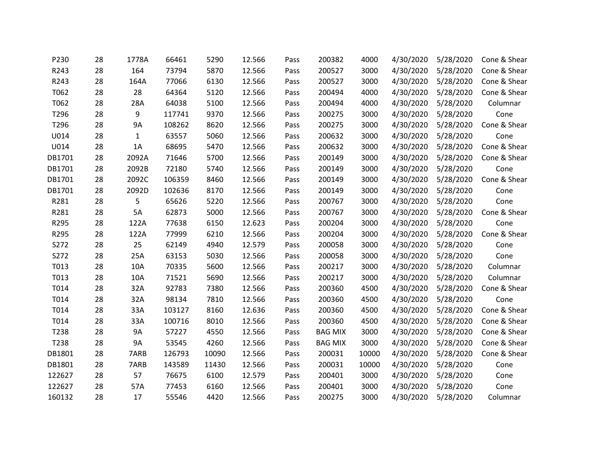| P230   | 28 | 1778A     | 66461  | 5290  | 12.566 | Pass | 200382         | 4000  | 4/30/2020 | 5/28/2020 | Cone & Shear |
|--------|----|-----------|--------|-------|--------|------|----------------|-------|-----------|-----------|--------------|
| R243   | 28 | 164       | 73794  | 5870  | 12.566 | Pass | 200527         | 3000  | 4/30/2020 | 5/28/2020 | Cone & Shear |
| R243   | 28 | 164A      | 77066  | 6130  | 12.566 | Pass | 200527         | 3000  | 4/30/2020 | 5/28/2020 | Cone & Shear |
| T062   | 28 | 28        | 64364  | 5120  | 12.566 | Pass | 200494         | 4000  | 4/30/2020 | 5/28/2020 | Cone & Shear |
| T062   | 28 | 28A       | 64038  | 5100  | 12.566 | Pass | 200494         | 4000  | 4/30/2020 | 5/28/2020 | Columnar     |
| T296   | 28 | 9         | 117741 | 9370  | 12.566 | Pass | 200275         | 3000  | 4/30/2020 | 5/28/2020 | Cone         |
| T296   | 28 | 9A        | 108262 | 8620  | 12.566 | Pass | 200275         | 3000  | 4/30/2020 | 5/28/2020 | Cone & Shear |
| U014   | 28 | 1         | 63557  | 5060  | 12.566 | Pass | 200632         | 3000  | 4/30/2020 | 5/28/2020 | Cone         |
| U014   | 28 | 1A        | 68695  | 5470  | 12.566 | Pass | 200632         | 3000  | 4/30/2020 | 5/28/2020 | Cone & Shear |
| DB1701 | 28 | 2092A     | 71646  | 5700  | 12.566 | Pass | 200149         | 3000  | 4/30/2020 | 5/28/2020 | Cone & Shear |
| DB1701 | 28 | 2092B     | 72180  | 5740  | 12.566 | Pass | 200149         | 3000  | 4/30/2020 | 5/28/2020 | Cone         |
| DB1701 | 28 | 2092C     | 106359 | 8460  | 12.566 | Pass | 200149         | 3000  | 4/30/2020 | 5/28/2020 | Cone & Shear |
| DB1701 | 28 | 2092D     | 102636 | 8170  | 12.566 | Pass | 200149         | 3000  | 4/30/2020 | 5/28/2020 | Cone         |
| R281   | 28 | 5         | 65626  | 5220  | 12.566 | Pass | 200767         | 3000  | 4/30/2020 | 5/28/2020 | Cone         |
| R281   | 28 | 5A        | 62873  | 5000  | 12.566 | Pass | 200767         | 3000  | 4/30/2020 | 5/28/2020 | Cone & Shear |
| R295   | 28 | 122A      | 77638  | 6150  | 12.623 | Pass | 200204         | 3000  | 4/30/2020 | 5/28/2020 | Cone         |
| R295   | 28 | 122A      | 77999  | 6210  | 12.566 | Pass | 200204         | 3000  | 4/30/2020 | 5/28/2020 | Cone & Shear |
| S272   | 28 | 25        | 62149  | 4940  | 12.579 | Pass | 200058         | 3000  | 4/30/2020 | 5/28/2020 | Cone         |
| S272   | 28 | 25A       | 63153  | 5030  | 12.566 | Pass | 200058         | 3000  | 4/30/2020 | 5/28/2020 | Cone         |
| T013   | 28 | 10A       | 70335  | 5600  | 12.566 | Pass | 200217         | 3000  | 4/30/2020 | 5/28/2020 | Columnar     |
| T013   | 28 | 10A       | 71521  | 5690  | 12.566 | Pass | 200217         | 3000  | 4/30/2020 | 5/28/2020 | Columnar     |
| T014   | 28 | 32A       | 92783  | 7380  | 12.566 | Pass | 200360         | 4500  | 4/30/2020 | 5/28/2020 | Cone & Shear |
| T014   | 28 | 32A       | 98134  | 7810  | 12.566 | Pass | 200360         | 4500  | 4/30/2020 | 5/28/2020 | Cone         |
| T014   | 28 | 33A       | 103127 | 8160  | 12.636 | Pass | 200360         | 4500  | 4/30/2020 | 5/28/2020 | Cone & Shear |
| T014   | 28 | 33A       | 100716 | 8010  | 12.566 | Pass | 200360         | 4500  | 4/30/2020 | 5/28/2020 | Cone & Shear |
| T238   | 28 | <b>9A</b> | 57227  | 4550  | 12.566 | Pass | <b>BAG MIX</b> | 3000  | 4/30/2020 | 5/28/2020 | Cone & Shear |
| T238   | 28 | <b>9A</b> | 53545  | 4260  | 12.566 | Pass | <b>BAG MIX</b> | 3000  | 4/30/2020 | 5/28/2020 | Cone & Shear |
| DB1801 | 28 | 7ARB      | 126793 | 10090 | 12.566 | Pass | 200031         | 10000 | 4/30/2020 | 5/28/2020 | Cone & Shear |
| DB1801 | 28 | 7ARB      | 143589 | 11430 | 12.566 | Pass | 200031         | 10000 | 4/30/2020 | 5/28/2020 | Cone         |
| 122627 | 28 | 57        | 76675  | 6100  | 12.579 | Pass | 200401         | 3000  | 4/30/2020 | 5/28/2020 | Cone         |
| 122627 | 28 | 57A       | 77453  | 6160  | 12.566 | Pass | 200401         | 3000  | 4/30/2020 | 5/28/2020 | Cone         |
| 160132 | 28 | 17        | 55546  | 4420  | 12.566 | Pass | 200275         | 3000  | 4/30/2020 | 5/28/2020 | Columnar     |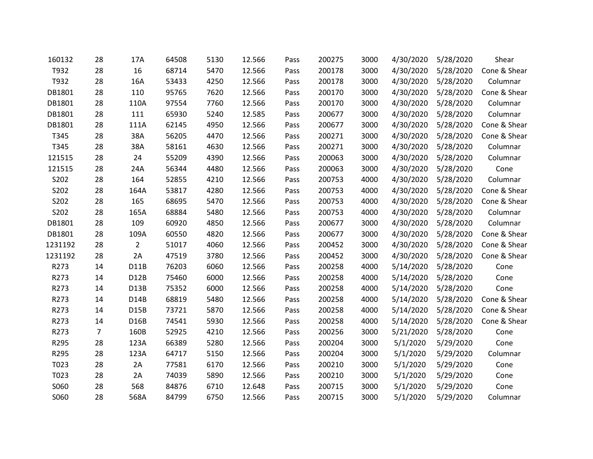| 160132  | 28             | 17A               | 64508 | 5130 | 12.566 | Pass | 200275 | 3000 | 4/30/2020 | 5/28/2020 | Shear        |
|---------|----------------|-------------------|-------|------|--------|------|--------|------|-----------|-----------|--------------|
| T932    | 28             | 16                | 68714 | 5470 | 12.566 | Pass | 200178 | 3000 | 4/30/2020 | 5/28/2020 | Cone & Shear |
| T932    | 28             | 16A               | 53433 | 4250 | 12.566 | Pass | 200178 | 3000 | 4/30/2020 | 5/28/2020 | Columnar     |
| DB1801  | 28             | 110               | 95765 | 7620 | 12.566 | Pass | 200170 | 3000 | 4/30/2020 | 5/28/2020 | Cone & Shear |
| DB1801  | 28             | 110A              | 97554 | 7760 | 12.566 | Pass | 200170 | 3000 | 4/30/2020 | 5/28/2020 | Columnar     |
| DB1801  | 28             | 111               | 65930 | 5240 | 12.585 | Pass | 200677 | 3000 | 4/30/2020 | 5/28/2020 | Columnar     |
| DB1801  | 28             | 111A              | 62145 | 4950 | 12.566 | Pass | 200677 | 3000 | 4/30/2020 | 5/28/2020 | Cone & Shear |
| T345    | 28             | 38A               | 56205 | 4470 | 12.566 | Pass | 200271 | 3000 | 4/30/2020 | 5/28/2020 | Cone & Shear |
| T345    | 28             | 38A               | 58161 | 4630 | 12.566 | Pass | 200271 | 3000 | 4/30/2020 | 5/28/2020 | Columnar     |
| 121515  | 28             | 24                | 55209 | 4390 | 12.566 | Pass | 200063 | 3000 | 4/30/2020 | 5/28/2020 | Columnar     |
| 121515  | 28             | 24A               | 56344 | 4480 | 12.566 | Pass | 200063 | 3000 | 4/30/2020 | 5/28/2020 | Cone         |
| S202    | 28             | 164               | 52855 | 4210 | 12.566 | Pass | 200753 | 4000 | 4/30/2020 | 5/28/2020 | Columnar     |
| S202    | 28             | 164A              | 53817 | 4280 | 12.566 | Pass | 200753 | 4000 | 4/30/2020 | 5/28/2020 | Cone & Shear |
| S202    | 28             | 165               | 68695 | 5470 | 12.566 | Pass | 200753 | 4000 | 4/30/2020 | 5/28/2020 | Cone & Shear |
| S202    | 28             | 165A              | 68884 | 5480 | 12.566 | Pass | 200753 | 4000 | 4/30/2020 | 5/28/2020 | Columnar     |
| DB1801  | 28             | 109               | 60920 | 4850 | 12.566 | Pass | 200677 | 3000 | 4/30/2020 | 5/28/2020 | Columnar     |
| DB1801  | 28             | 109A              | 60550 | 4820 | 12.566 | Pass | 200677 | 3000 | 4/30/2020 | 5/28/2020 | Cone & Shear |
| 1231192 | 28             | $\overline{2}$    | 51017 | 4060 | 12.566 | Pass | 200452 | 3000 | 4/30/2020 | 5/28/2020 | Cone & Shear |
| 1231192 | 28             | 2A                | 47519 | 3780 | 12.566 | Pass | 200452 | 3000 | 4/30/2020 | 5/28/2020 | Cone & Shear |
| R273    | 14             | <b>D11B</b>       | 76203 | 6060 | 12.566 | Pass | 200258 | 4000 | 5/14/2020 | 5/28/2020 | Cone         |
| R273    | 14             | D12B              | 75460 | 6000 | 12.566 | Pass | 200258 | 4000 | 5/14/2020 | 5/28/2020 | Cone         |
| R273    | 14             | D13B              | 75352 | 6000 | 12.566 | Pass | 200258 | 4000 | 5/14/2020 | 5/28/2020 | Cone         |
| R273    | 14             | D14B              | 68819 | 5480 | 12.566 | Pass | 200258 | 4000 | 5/14/2020 | 5/28/2020 | Cone & Shear |
| R273    | 14             | D <sub>15</sub> B | 73721 | 5870 | 12.566 | Pass | 200258 | 4000 | 5/14/2020 | 5/28/2020 | Cone & Shear |
| R273    | 14             | D16B              | 74541 | 5930 | 12.566 | Pass | 200258 | 4000 | 5/14/2020 | 5/28/2020 | Cone & Shear |
| R273    | $\overline{7}$ | 160B              | 52925 | 4210 | 12.566 | Pass | 200256 | 3000 | 5/21/2020 | 5/28/2020 | Cone         |
| R295    | 28             | 123A              | 66389 | 5280 | 12.566 | Pass | 200204 | 3000 | 5/1/2020  | 5/29/2020 | Cone         |
| R295    | 28             | 123A              | 64717 | 5150 | 12.566 | Pass | 200204 | 3000 | 5/1/2020  | 5/29/2020 | Columnar     |
| T023    | 28             | 2A                | 77581 | 6170 | 12.566 | Pass | 200210 | 3000 | 5/1/2020  | 5/29/2020 | Cone         |
| T023    | 28             | 2A                | 74039 | 5890 | 12.566 | Pass | 200210 | 3000 | 5/1/2020  | 5/29/2020 | Cone         |
| S060    | 28             | 568               | 84876 | 6710 | 12.648 | Pass | 200715 | 3000 | 5/1/2020  | 5/29/2020 | Cone         |
| S060    | 28             | 568A              | 84799 | 6750 | 12.566 | Pass | 200715 | 3000 | 5/1/2020  | 5/29/2020 | Columnar     |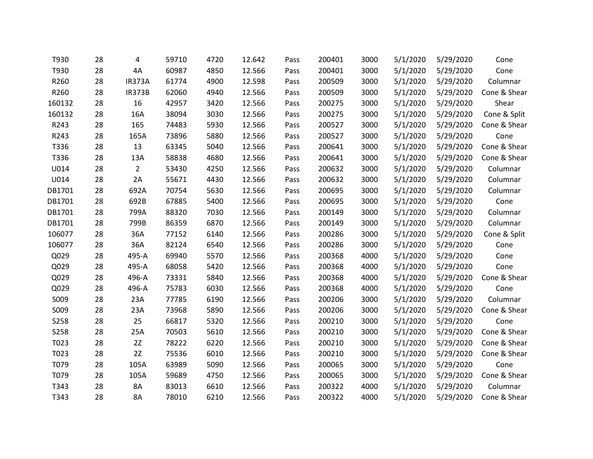| T930        | 28 | 4              | 59710 | 4720 | 12.642 | Pass | 200401 | 3000 | 5/1/2020 | 5/29/2020 | Cone         |
|-------------|----|----------------|-------|------|--------|------|--------|------|----------|-----------|--------------|
| T930        | 28 | 4A             | 60987 | 4850 | 12.566 | Pass | 200401 | 3000 | 5/1/2020 | 5/29/2020 | Cone         |
| R260        | 28 | <b>IR373A</b>  | 61774 | 4900 | 12.598 | Pass | 200509 | 3000 | 5/1/2020 | 5/29/2020 | Columnar     |
| R260        | 28 | <b>IR373B</b>  | 62060 | 4940 | 12.566 | Pass | 200509 | 3000 | 5/1/2020 | 5/29/2020 | Cone & Shear |
| 160132      | 28 | 16             | 42957 | 3420 | 12.566 | Pass | 200275 | 3000 | 5/1/2020 | 5/29/2020 | Shear        |
| 160132      | 28 | 16A            | 38094 | 3030 | 12.566 | Pass | 200275 | 3000 | 5/1/2020 | 5/29/2020 | Cone & Split |
| R243        | 28 | 165            | 74483 | 5930 | 12.566 | Pass | 200527 | 3000 | 5/1/2020 | 5/29/2020 | Cone & Shear |
| R243        | 28 | 165A           | 73896 | 5880 | 12.566 | Pass | 200527 | 3000 | 5/1/2020 | 5/29/2020 | Cone         |
| T336        | 28 | 13             | 63345 | 5040 | 12.566 | Pass | 200641 | 3000 | 5/1/2020 | 5/29/2020 | Cone & Shear |
| T336        | 28 | 13A            | 58838 | 4680 | 12.566 | Pass | 200641 | 3000 | 5/1/2020 | 5/29/2020 | Cone & Shear |
| U014        | 28 | $\overline{2}$ | 53430 | 4250 | 12.566 | Pass | 200632 | 3000 | 5/1/2020 | 5/29/2020 | Columnar     |
| U014        | 28 | 2A             | 55671 | 4430 | 12.566 | Pass | 200632 | 3000 | 5/1/2020 | 5/29/2020 | Columnar     |
| DB1701      | 28 | 692A           | 70754 | 5630 | 12.566 | Pass | 200695 | 3000 | 5/1/2020 | 5/29/2020 | Columnar     |
| DB1701      | 28 | 692B           | 67885 | 5400 | 12.566 | Pass | 200695 | 3000 | 5/1/2020 | 5/29/2020 | Cone         |
| DB1701      | 28 | 799A           | 88320 | 7030 | 12.566 | Pass | 200149 | 3000 | 5/1/2020 | 5/29/2020 | Columnar     |
| DB1701      | 28 | 799B           | 86359 | 6870 | 12.566 | Pass | 200149 | 3000 | 5/1/2020 | 5/29/2020 | Columnar     |
| 106077      | 28 | 36A            | 77152 | 6140 | 12.566 | Pass | 200286 | 3000 | 5/1/2020 | 5/29/2020 | Cone & Split |
| 106077      | 28 | 36A            | 82124 | 6540 | 12.566 | Pass | 200286 | 3000 | 5/1/2020 | 5/29/2020 | Cone         |
| Q029        | 28 | 495-A          | 69940 | 5570 | 12.566 | Pass | 200368 | 4000 | 5/1/2020 | 5/29/2020 | Cone         |
| Q029        | 28 | 495-A          | 68058 | 5420 | 12.566 | Pass | 200368 | 4000 | 5/1/2020 | 5/29/2020 | Cone         |
| Q029        | 28 | 496-A          | 73331 | 5840 | 12.566 | Pass | 200368 | 4000 | 5/1/2020 | 5/29/2020 | Cone & Shear |
| Q029        | 28 | 496-A          | 75783 | 6030 | 12.566 | Pass | 200368 | 4000 | 5/1/2020 | 5/29/2020 | Cone         |
| S009        | 28 | 23A            | 77785 | 6190 | 12.566 | Pass | 200206 | 3000 | 5/1/2020 | 5/29/2020 | Columnar     |
| S009        | 28 | 23A            | 73968 | 5890 | 12.566 | Pass | 200206 | 3000 | 5/1/2020 | 5/29/2020 | Cone & Shear |
| <b>S258</b> | 28 | 25             | 66817 | 5320 | 12.566 | Pass | 200210 | 3000 | 5/1/2020 | 5/29/2020 | Cone         |
| <b>S258</b> | 28 | 25A            | 70503 | 5610 | 12.566 | Pass | 200210 | 3000 | 5/1/2020 | 5/29/2020 | Cone & Shear |
| T023        | 28 | 2Z             | 78222 | 6220 | 12.566 | Pass | 200210 | 3000 | 5/1/2020 | 5/29/2020 | Cone & Shear |
| T023        | 28 | 2Z             | 75536 | 6010 | 12.566 | Pass | 200210 | 3000 | 5/1/2020 | 5/29/2020 | Cone & Shear |
| T079        | 28 | 105A           | 63989 | 5090 | 12.566 | Pass | 200065 | 3000 | 5/1/2020 | 5/29/2020 | Cone         |
| T079        | 28 | 105A           | 59689 | 4750 | 12.566 | Pass | 200065 | 3000 | 5/1/2020 | 5/29/2020 | Cone & Shear |
| T343        | 28 | 8A             | 83013 | 6610 | 12.566 | Pass | 200322 | 4000 | 5/1/2020 | 5/29/2020 | Columnar     |
| T343        | 28 | <b>8A</b>      | 78010 | 6210 | 12.566 | Pass | 200322 | 4000 | 5/1/2020 | 5/29/2020 | Cone & Shear |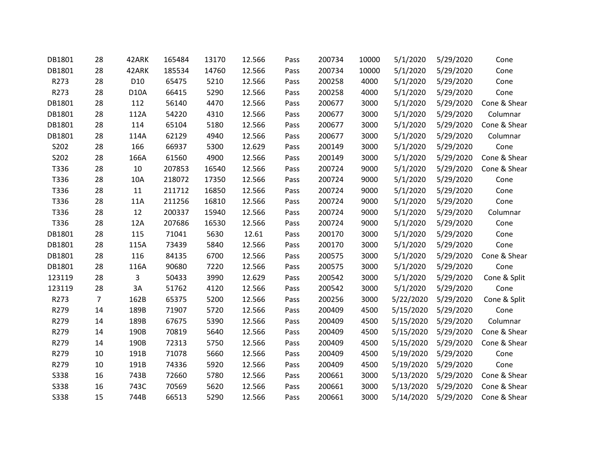| DB1801      | 28             | 42ARK           | 165484 | 13170 | 12.566 | Pass | 200734 | 10000 | 5/1/2020  | 5/29/2020 | Cone         |
|-------------|----------------|-----------------|--------|-------|--------|------|--------|-------|-----------|-----------|--------------|
| DB1801      | 28             | 42ARK           | 185534 | 14760 | 12.566 | Pass | 200734 | 10000 | 5/1/2020  | 5/29/2020 | Cone         |
| R273        | 28             | D <sub>10</sub> | 65475  | 5210  | 12.566 | Pass | 200258 | 4000  | 5/1/2020  | 5/29/2020 | Cone         |
| R273        | 28             | <b>D10A</b>     | 66415  | 5290  | 12.566 | Pass | 200258 | 4000  | 5/1/2020  | 5/29/2020 | Cone         |
| DB1801      | 28             | 112             | 56140  | 4470  | 12.566 | Pass | 200677 | 3000  | 5/1/2020  | 5/29/2020 | Cone & Shear |
| DB1801      | 28             | 112A            | 54220  | 4310  | 12.566 | Pass | 200677 | 3000  | 5/1/2020  | 5/29/2020 | Columnar     |
| DB1801      | 28             | 114             | 65104  | 5180  | 12.566 | Pass | 200677 | 3000  | 5/1/2020  | 5/29/2020 | Cone & Shear |
| DB1801      | 28             | 114A            | 62129  | 4940  | 12.566 | Pass | 200677 | 3000  | 5/1/2020  | 5/29/2020 | Columnar     |
| S202        | 28             | 166             | 66937  | 5300  | 12.629 | Pass | 200149 | 3000  | 5/1/2020  | 5/29/2020 | Cone         |
| S202        | 28             | 166A            | 61560  | 4900  | 12.566 | Pass | 200149 | 3000  | 5/1/2020  | 5/29/2020 | Cone & Shear |
| T336        | 28             | 10              | 207853 | 16540 | 12.566 | Pass | 200724 | 9000  | 5/1/2020  | 5/29/2020 | Cone & Shear |
| T336        | 28             | 10A             | 218072 | 17350 | 12.566 | Pass | 200724 | 9000  | 5/1/2020  | 5/29/2020 | Cone         |
| T336        | 28             | 11              | 211712 | 16850 | 12.566 | Pass | 200724 | 9000  | 5/1/2020  | 5/29/2020 | Cone         |
| T336        | 28             | 11A             | 211256 | 16810 | 12.566 | Pass | 200724 | 9000  | 5/1/2020  | 5/29/2020 | Cone         |
| T336        | 28             | 12              | 200337 | 15940 | 12.566 | Pass | 200724 | 9000  | 5/1/2020  | 5/29/2020 | Columnar     |
| T336        | 28             | 12A             | 207686 | 16530 | 12.566 | Pass | 200724 | 9000  | 5/1/2020  | 5/29/2020 | Cone         |
| DB1801      | 28             | 115             | 71041  | 5630  | 12.61  | Pass | 200170 | 3000  | 5/1/2020  | 5/29/2020 | Cone         |
| DB1801      | 28             | 115A            | 73439  | 5840  | 12.566 | Pass | 200170 | 3000  | 5/1/2020  | 5/29/2020 | Cone         |
| DB1801      | 28             | 116             | 84135  | 6700  | 12.566 | Pass | 200575 | 3000  | 5/1/2020  | 5/29/2020 | Cone & Shear |
| DB1801      | 28             | 116A            | 90680  | 7220  | 12.566 | Pass | 200575 | 3000  | 5/1/2020  | 5/29/2020 | Cone         |
| 123119      | 28             | 3               | 50433  | 3990  | 12.629 | Pass | 200542 | 3000  | 5/1/2020  | 5/29/2020 | Cone & Split |
| 123119      | 28             | 3A              | 51762  | 4120  | 12.566 | Pass | 200542 | 3000  | 5/1/2020  | 5/29/2020 | Cone         |
| R273        | $\overline{7}$ | 162B            | 65375  | 5200  | 12.566 | Pass | 200256 | 3000  | 5/22/2020 | 5/29/2020 | Cone & Split |
| R279        | 14             | 189B            | 71907  | 5720  | 12.566 | Pass | 200409 | 4500  | 5/15/2020 | 5/29/2020 | Cone         |
| R279        | 14             | 189B            | 67675  | 5390  | 12.566 | Pass | 200409 | 4500  | 5/15/2020 | 5/29/2020 | Columnar     |
| R279        | 14             | 190B            | 70819  | 5640  | 12.566 | Pass | 200409 | 4500  | 5/15/2020 | 5/29/2020 | Cone & Shear |
| R279        | 14             | 190B            | 72313  | 5750  | 12.566 | Pass | 200409 | 4500  | 5/15/2020 | 5/29/2020 | Cone & Shear |
| R279        | 10             | 191B            | 71078  | 5660  | 12.566 | Pass | 200409 | 4500  | 5/19/2020 | 5/29/2020 | Cone         |
| R279        | 10             | 191B            | 74336  | 5920  | 12.566 | Pass | 200409 | 4500  | 5/19/2020 | 5/29/2020 | Cone         |
| <b>S338</b> | 16             | 743B            | 72660  | 5780  | 12.566 | Pass | 200661 | 3000  | 5/13/2020 | 5/29/2020 | Cone & Shear |
| <b>S338</b> | 16             | 743C            | 70569  | 5620  | 12.566 | Pass | 200661 | 3000  | 5/13/2020 | 5/29/2020 | Cone & Shear |
| <b>S338</b> | 15             | 744B            | 66513  | 5290  | 12.566 | Pass | 200661 | 3000  | 5/14/2020 | 5/29/2020 | Cone & Shear |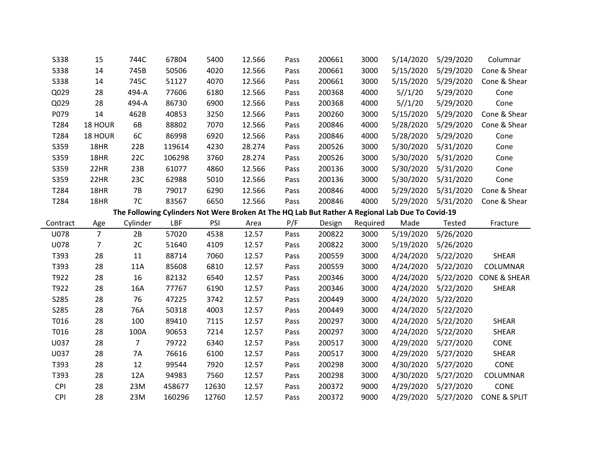| <b>S338</b> | 15             | 744C     | 67804  | 5400  | 12.566 | Pass | 200661 | 3000     | 5/14/2020                                                                                       | 5/29/2020 | Columnar                |
|-------------|----------------|----------|--------|-------|--------|------|--------|----------|-------------------------------------------------------------------------------------------------|-----------|-------------------------|
| <b>S338</b> | 14             | 745B     | 50506  | 4020  | 12.566 | Pass | 200661 | 3000     | 5/15/2020                                                                                       | 5/29/2020 | Cone & Shear            |
| <b>S338</b> | 14             | 745C     | 51127  | 4070  | 12.566 | Pass | 200661 | 3000     | 5/15/2020                                                                                       | 5/29/2020 | Cone & Shear            |
| Q029        | 28             | 494-A    | 77606  | 6180  | 12.566 | Pass | 200368 | 4000     | 5//1/20                                                                                         | 5/29/2020 | Cone                    |
| Q029        | 28             | 494-A    | 86730  | 6900  | 12.566 | Pass | 200368 | 4000     | 5//1/20                                                                                         | 5/29/2020 | Cone                    |
| P079        | 14             | 462B     | 40853  | 3250  | 12.566 | Pass | 200260 | 3000     | 5/15/2020                                                                                       | 5/29/2020 | Cone & Shear            |
| T284        | 18 HOUR        | 6B       | 88802  | 7070  | 12.566 | Pass | 200846 | 4000     | 5/28/2020                                                                                       | 5/29/2020 | Cone & Shear            |
| T284        | 18 HOUR        | 6C       | 86998  | 6920  | 12.566 | Pass | 200846 | 4000     | 5/28/2020                                                                                       | 5/29/2020 | Cone                    |
| S359        | 18HR           | 22B      | 119614 | 4230  | 28.274 | Pass | 200526 | 3000     | 5/30/2020                                                                                       | 5/31/2020 | Cone                    |
| S359        | 18HR           | 22C      | 106298 | 3760  | 28.274 | Pass | 200526 | 3000     | 5/30/2020                                                                                       | 5/31/2020 | Cone                    |
| S359        | 22HR           | 23B      | 61077  | 4860  | 12.566 | Pass | 200136 | 3000     | 5/30/2020                                                                                       | 5/31/2020 | Cone                    |
| S359        | 22HR           | 23C      | 62988  | 5010  | 12.566 | Pass | 200136 | 3000     | 5/30/2020                                                                                       | 5/31/2020 | Cone                    |
| T284        | 18HR           | 7B       | 79017  | 6290  | 12.566 | Pass | 200846 | 4000     | 5/29/2020                                                                                       | 5/31/2020 | Cone & Shear            |
| T284        | 18HR           | 7C       | 83567  | 6650  | 12.566 | Pass | 200846 | 4000     | 5/29/2020                                                                                       | 5/31/2020 | Cone & Shear            |
|             |                |          |        |       |        |      |        |          | The Following Cylinders Not Were Broken At The HQ Lab But Rather A Regional Lab Due To Covid-19 |           |                         |
| Contract    | Age            | Cylinder | LBF    | PSI   | Area   | P/F  | Design | Required | Made                                                                                            | Tested    | Fracture                |
|             |                |          |        |       | 12.57  | Pass | 200822 | 3000     | 5/19/2020                                                                                       | 5/26/2020 |                         |
| U078        | $\overline{7}$ | 2B       | 57020  | 4538  |        |      |        |          |                                                                                                 |           |                         |
| <b>U078</b> | 7              | 2C       | 51640  | 4109  | 12.57  | Pass | 200822 | 3000     | 5/19/2020                                                                                       | 5/26/2020 |                         |
| T393        | 28             | 11       | 88714  | 7060  | 12.57  | Pass | 200559 | 3000     | 4/24/2020                                                                                       | 5/22/2020 | <b>SHEAR</b>            |
| T393        | 28             | 11A      | 85608  | 6810  | 12.57  | Pass | 200559 | 3000     | 4/24/2020                                                                                       | 5/22/2020 | COLUMNAR                |
| T922        | 28             | 16       | 82132  | 6540  | 12.57  | Pass | 200346 | 3000     | 4/24/2020                                                                                       | 5/22/2020 | <b>CONE &amp; SHEAR</b> |
| T922        | 28             | 16A      | 77767  | 6190  | 12.57  | Pass | 200346 | 3000     | 4/24/2020                                                                                       | 5/22/2020 | <b>SHEAR</b>            |
| S285        | 28             | 76       | 47225  | 3742  | 12.57  | Pass | 200449 | 3000     | 4/24/2020                                                                                       | 5/22/2020 |                         |
| S285        | 28             | 76A      | 50318  | 4003  | 12.57  | Pass | 200449 | 3000     | 4/24/2020                                                                                       | 5/22/2020 |                         |
| T016        | 28             | 100      | 89410  | 7115  | 12.57  | Pass | 200297 | 3000     | 4/24/2020                                                                                       | 5/22/2020 | <b>SHEAR</b>            |
| T016        | 28             | 100A     | 90653  | 7214  | 12.57  | Pass | 200297 | 3000     | 4/24/2020                                                                                       | 5/22/2020 | <b>SHEAR</b>            |
| U037        | 28             | 7        | 79722  | 6340  | 12.57  | Pass | 200517 | 3000     | 4/29/2020                                                                                       | 5/27/2020 | CONE                    |
| U037        | 28             | 7A       | 76616  | 6100  | 12.57  | Pass | 200517 | 3000     | 4/29/2020                                                                                       | 5/27/2020 | <b>SHEAR</b>            |
| T393        | 28             | 12       | 99544  | 7920  | 12.57  | Pass | 200298 | 3000     | 4/30/2020                                                                                       | 5/27/2020 | CONE                    |
| T393        | 28             | 12A      | 94983  | 7560  | 12.57  | Pass | 200298 | 3000     | 4/30/2020                                                                                       | 5/27/2020 | COLUMNAR                |
| <b>CPI</b>  | 28             | 23M      | 458677 | 12630 | 12.57  | Pass | 200372 | 9000     | 4/29/2020                                                                                       | 5/27/2020 | CONE                    |
| <b>CPI</b>  | 28             | 23M      | 160296 | 12760 | 12.57  | Pass | 200372 | 9000     | 4/29/2020                                                                                       | 5/27/2020 | <b>CONE &amp; SPLIT</b> |